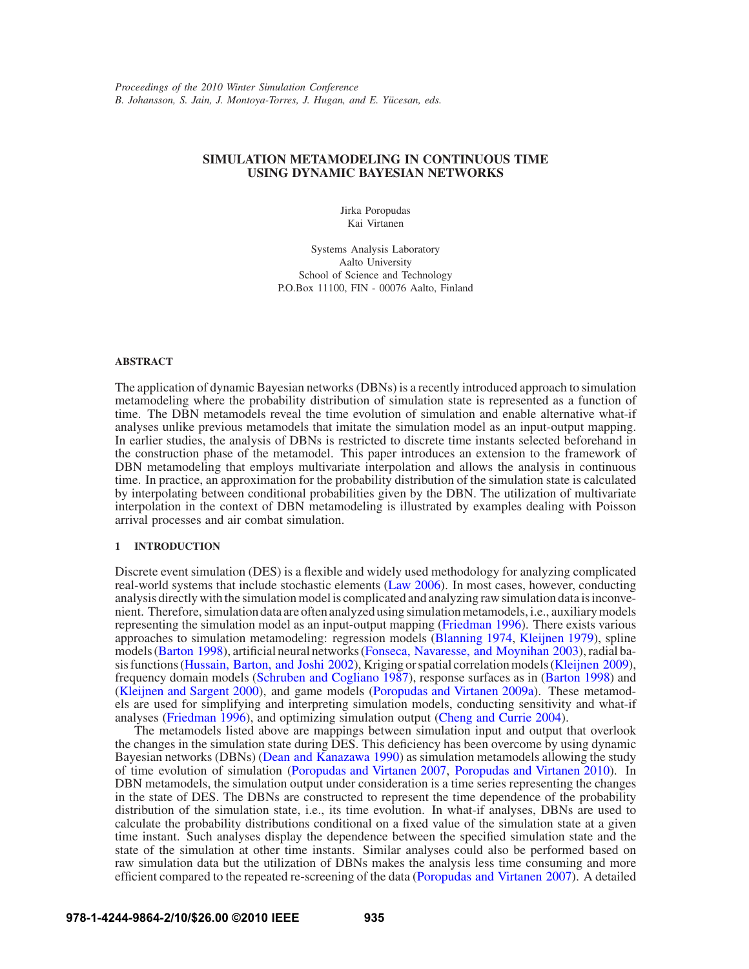# **SIMULATION METAMODELING IN CONTINUOUS TIME USING DYNAMIC BAYESIAN NETWORKS**

Jirka Poropudas Kai Virtanen

Systems Analysis Laboratory Aalto University School of Science and Technology P.O.Box 11100, FIN - 00076 Aalto, Finland

# **ABSTRACT**

The application of dynamic Bayesian networks (DBNs) is a recently introduced approach to simulation metamodeling where the probability distribution of simulation state is represented as a function of time. The DBN metamodels reveal the time evolution of simulation and enable alternative what-if analyses unlike previous metamodels that imitate the simulation model as an input-output mapping. In earlier studies, the analysis of DBNs is restricted to discrete time instants selected beforehand in the construction phase of the metamodel. This paper introduces an extension to the framework of DBN metamodeling that employs multivariate interpolation and allows the analysis in continuous time. In practice, an approximation for the probability distribution of the simulation state is calculated by interpolating between conditional probabilities given by the DBN. The utilization of multivariate interpolation in the context of DBN metamodeling is illustrated by examples dealing with Poisson arrival processes and air combat simulation.

# **1 INTRODUCTION**

Discrete event simulation (DES) is a flexible and widely used methodology for analyzing complicated real-world systems that include stochastic elements (Law 2006). In most cases, however, conducting analysis directly with the simulation model is complicated and analyzing raw simulation data is inconvenient. Therefore, simulation data are often analyzed using simulation metamodels, i.e., auxiliary models representing the simulation model as an input-output mapping (Friedman 1996). There exists various approaches to simulation metamodeling: regression models (Blanning 1974, Kleijnen 1979), spline models (Barton 1998), artificial neural networks (Fonseca, Navaresse, and Moynihan 2003), radial basis functions (Hussain, Barton, and Joshi 2002), Kriging or spatial correlation models (Kleijnen 2009), frequency domain models (Schruben and Cogliano 1987), response surfaces as in (Barton 1998) and (Kleijnen and Sargent 2000), and game models (Poropudas and Virtanen 2009a). These metamodels are used for simplifying and interpreting simulation models, conducting sensitivity and what-if analyses (Friedman 1996), and optimizing simulation output (Cheng and Currie 2004).

The metamodels listed above are mappings between simulation input and output that overlook the changes in the simulation state during DES. This deficiency has been overcome by using dynamic Bayesian networks (DBNs) (Dean and Kanazawa 1990) as simulation metamodels allowing the study of time evolution of simulation (Poropudas and Virtanen 2007, Poropudas and Virtanen 2010). In DBN metamodels, the simulation output under consideration is a time series representing the changes in the state of DES. The DBNs are constructed to represent the time dependence of the probability distribution of the simulation state, i.e., its time evolution. In what-if analyses, DBNs are used to calculate the probability distributions conditional on a fixed value of the simulation state at a given time instant. Such analyses display the dependence between the specified simulation state and the state of the simulation at other time instants. Similar analyses could also be performed based on raw simulation data but the utilization of DBNs makes the analysis less time consuming and more efficient compared to the repeated re-screening of the data (Poropudas and Virtanen 2007). A detailed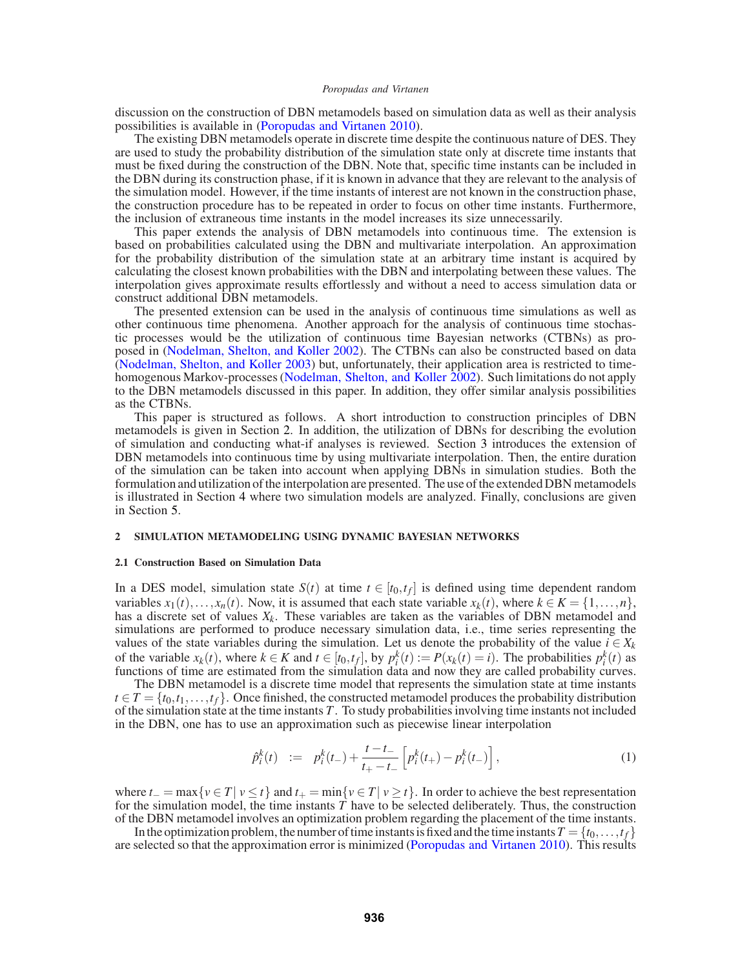discussion on the construction of DBN metamodels based on simulation data as well as their analysis possibilities is available in (Poropudas and Virtanen 2010).

The existing DBN metamodels operate in discrete time despite the continuous nature of DES. They are used to study the probability distribution of the simulation state only at discrete time instants that must be fixed during the construction of the DBN. Note that, specific time instants can be included in the DBN during its construction phase, if it is known in advance that they are relevant to the analysis of the simulation model. However, if the time instants of interest are not known in the construction phase, the construction procedure has to be repeated in order to focus on other time instants. Furthermore, the inclusion of extraneous time instants in the model increases its size unnecessarily.

This paper extends the analysis of DBN metamodels into continuous time. The extension is based on probabilities calculated using the DBN and multivariate interpolation. An approximation for the probability distribution of the simulation state at an arbitrary time instant is acquired by calculating the closest known probabilities with the DBN and interpolating between these values. The interpolation gives approximate results effortlessly and without a need to access simulation data or construct additional DBN metamodels.

The presented extension can be used in the analysis of continuous time simulations as well as other continuous time phenomena. Another approach for the analysis of continuous time stochastic processes would be the utilization of continuous time Bayesian networks (CTBNs) as proposed in (Nodelman, Shelton, and Koller 2002). The CTBNs can also be constructed based on data (Nodelman, Shelton, and Koller 2003) but, unfortunately, their application area is restricted to timehomogenous Markov-processes (Nodelman, Shelton, and Koller 2002). Such limitations do not apply to the DBN metamodels discussed in this paper. In addition, they offer similar analysis possibilities as the CTBNs.

This paper is structured as follows. A short introduction to construction principles of DBN metamodels is given in Section 2. In addition, the utilization of DBNs for describing the evolution of simulation and conducting what-if analyses is reviewed. Section 3 introduces the extension of DBN metamodels into continuous time by using multivariate interpolation. Then, the entire duration of the simulation can be taken into account when applying DBNs in simulation studies. Both the formulation and utilization of the interpolation are presented. The use of the extended DBN metamodels is illustrated in Section 4 where two simulation models are analyzed. Finally, conclusions are given in Section 5.

## **2 SIMULATION METAMODELING USING DYNAMIC BAYESIAN NETWORKS**

### **2.1 Construction Based on Simulation Data**

In a DES model, simulation state  $S(t)$  at time  $t \in [t_0, t_f]$  is defined using time dependent random variables  $x_1(t),...,x_n(t)$ . Now, it is assumed that each state variable  $x_k(t)$ , where  $k \in K = \{1,...,n\}$ , has a discrete set of values  $X_k$ . These variables are taken as the variables of DBN metamodel and simulations are performed to produce necessary simulation data, i.e., time series representing the values of the state variables during the simulation. Let us denote the probability of the value  $i \in X_k$ of the variable  $x_k(t)$ , where  $k \in K$  and  $t \in [t_0, t_f]$ , by  $p_i^k(t) := P(x_k(t) = i)$ . The probabilities  $p_i^k(t)$  as functions of time are estimated from the simulation data and now they are called probability curves.

The DBN metamodel is a discrete time model that represents the simulation state at time instants  $t \in T = \{t_0, t_1, \ldots, t_f\}$ . Once finished, the constructed metamodel produces the probability distribution of the simulation state at the time instants *T*. To study probabilities involving time instants not included in the DBN, one has to use an approximation such as piecewise linear interpolation

$$
\hat{p}_i^k(t) := p_i^k(t_-) + \frac{t - t_-}{t_+ - t_-} \left[ p_i^k(t_+) - p_i^k(t_-) \right],\tag{1}
$$

where  $t_$  = max{ $v \in T | v \le t$ } and  $t_+$  = min{ $v \in T | v \ge t$ }. In order to achieve the best representation for the simulation model, the time instants  $\hat{T}$  have to be selected deliberately. Thus, the construction of the DBN metamodel involves an optimization problem regarding the placement of the time instants.

In the optimization problem, the number of time instants is fixed and the time instants  $T = \{t_0, \ldots, t_f\}$ are selected so that the approximation error is minimized (Poropudas and Virtanen 2010). This results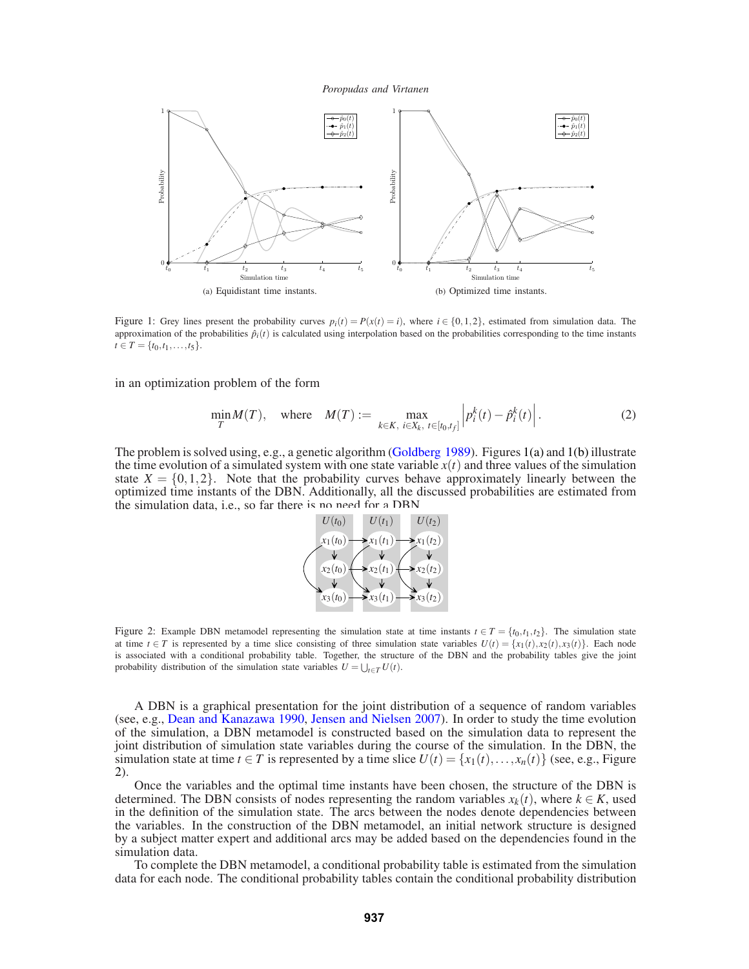

Figure 1: Grey lines present the probability curves  $p_i(t) = P(x(t) = i)$ , where  $i \in \{0, 1, 2\}$ , estimated from simulation data. The approximation of the probabilities  $\hat{p}_i(t)$  is calculated using interpolation based on the probabilities corresponding to the time instants  $t \in T = \{t_0, t_1, \ldots, t_5\}.$ 

in an optimization problem of the form

$$
\min_{T} M(T), \quad \text{where} \quad M(T) := \max_{k \in K, \ i \in X_k, \ t \in [t_0, t_f]} \left| p_i^k(t) - \hat{p}_i^k(t) \right|. \tag{2}
$$

The problem is solved using, e.g., a genetic algorithm (Goldberg 1989). Figures 1(a) and 1(b) illustrate the time evolution of a simulated system with one state variable  $x(t)$  and three values of the simulation state  $X = \{0, 1, 2\}$ . Note that the probability curves behave approximately linearly between the optimized time instants of the DBN. Additionally, all the discussed probabilities are estimated from the simulation data, i.e., so far there is no need for a DBN.



Figure 2: Example DBN metamodel representing the simulation state at time instants  $t \in T = \{t_0, t_1, t_2\}$ . The simulation state at time  $t \in T$  is represented by a time slice consisting of three simulation state variables  $U(t) = \{x_1(t), x_2(t), x_3(t)\}\.$  Each node is associated with a conditional probability table. Together, the structure of the DBN and the probability tables give the joint probability distribution of the simulation state variables  $U = \bigcup_{t \in T} U(t)$ .

A DBN is a graphical presentation for the joint distribution of a sequence of random variables (see, e.g., Dean and Kanazawa 1990, Jensen and Nielsen 2007). In order to study the time evolution of the simulation, a DBN metamodel is constructed based on the simulation data to represent the joint distribution of simulation state variables during the course of the simulation. In the DBN, the simulation state at time  $t \in T$  is represented by a time slice  $U(t) = \{x_1(t),...,x_n(t)\}$  (see, e.g., Figure 2).

Once the variables and the optimal time instants have been chosen, the structure of the DBN is determined. The DBN consists of nodes representing the random variables  $x_k(t)$ , where  $k \in K$ , used in the definition of the simulation state. The arcs between the nodes denote dependencies between the variables. In the construction of the DBN metamodel, an initial network structure is designed by a subject matter expert and additional arcs may be added based on the dependencies found in the simulation data.

To complete the DBN metamodel, a conditional probability table is estimated from the simulation data for each node. The conditional probability tables contain the conditional probability distribution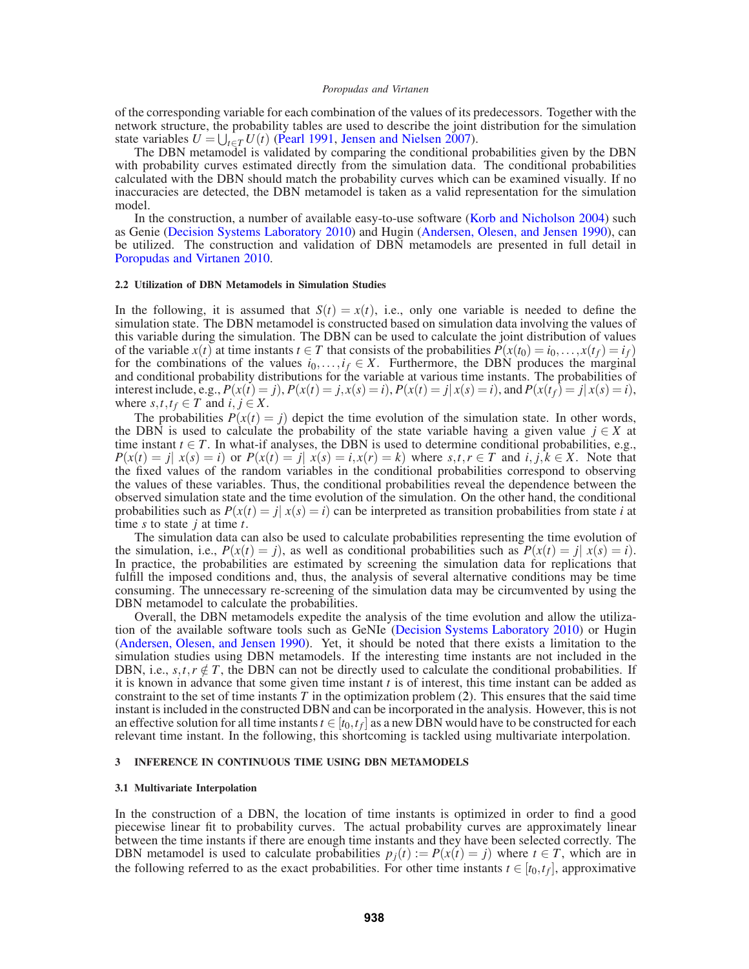of the corresponding variable for each combination of the values of its predecessors. Together with the network structure, the probability tables are used to describe the joint distribution for the simulation state variables  $U = \bigcup_{t \in T} U(t)$  (Pearl 1991, Jensen and Nielsen 2007).

The DBN metamodel is validated by comparing the conditional probabilities given by the DBN with probability curves estimated directly from the simulation data. The conditional probabilities calculated with the DBN should match the probability curves which can be examined visually. If no inaccuracies are detected, the DBN metamodel is taken as a valid representation for the simulation model.

In the construction, a number of available easy-to-use software (Korb and Nicholson 2004) such as Genie (Decision Systems Laboratory 2010) and Hugin (Andersen, Olesen, and Jensen 1990), can be utilized. The construction and validation of DBN metamodels are presented in full detail in Poropudas and Virtanen 2010.

# **2.2 Utilization of DBN Metamodels in Simulation Studies**

In the following, it is assumed that  $S(t) = x(t)$ , i.e., only one variable is needed to define the simulation state. The DBN metamodel is constructed based on simulation data involving the values of this variable during the simulation. The DBN can be used to calculate the joint distribution of values of the variable  $x(t)$  at time instants  $t \in T$  that consists of the probabilities  $P(x(t_0) = i_0, \ldots, x(t_f) = i_f)$ for the combinations of the values  $i_0, \ldots, i_f \in X$ . Furthermore, the DBN produces the marginal and conditional probability distributions for the variable at various time instants. The probabilities of interest include, e.g.,  $P(x(t) = j)$ ,  $P(x(t) = j$ ,  $x(s) = i)$ ,  $P(x(t) = j | x(s) = i)$ , and  $P(x(t_f) = j | x(s) = i)$ , where  $s, t, t_f \in T$  and  $i, j \in X$ .

The probabilities  $P(x(t) = j)$  depict the time evolution of the simulation state. In other words, the DBN is used to calculate the probability of the state variable having a given value  $j \in X$  at time instant  $t \in T$ . In what-if analyses, the DBN is used to determine conditional probabilities, e.g.,  $P(x(t) = j | x(s) = i)$  or  $P(x(t) = j | x(s) = i, x(r) = k)$  where s, t,  $r \in T$  and i, j,  $k \in X$ . Note that the fixed values of the random variables in the conditional probabilities correspond to observing the values of these variables. Thus, the conditional probabilities reveal the dependence between the observed simulation state and the time evolution of the simulation. On the other hand, the conditional probabilities such as  $P(x(t) = j | x(s) = i)$  can be interpreted as transition probabilities from state *i* at time *s* to state *j* at time *t*.

The simulation data can also be used to calculate probabilities representing the time evolution of the simulation, i.e.,  $P(x(t) = j)$ , as well as conditional probabilities such as  $P(x(t) = j | x(s) = i)$ . In practice, the probabilities are estimated by screening the simulation data for replications that fulfill the imposed conditions and, thus, the analysis of several alternative conditions may be time consuming. The unnecessary re-screening of the simulation data may be circumvented by using the DBN metamodel to calculate the probabilities.

Overall, the DBN metamodels expedite the analysis of the time evolution and allow the utilization of the available software tools such as GeNIe (Decision Systems Laboratory 2010) or Hugin (Andersen, Olesen, and Jensen 1990). Yet, it should be noted that there exists a limitation to the simulation studies using DBN metamodels. If the interesting time instants are not included in the DBN, i.e.,  $s, t, r \notin T$ , the DBN can not be directly used to calculate the conditional probabilities. If it is known in advance that some given time instant *t* is of interest, this time instant can be added as constraint to the set of time instants *T* in the optimization problem (2). This ensures that the said time instant is included in the constructed DBN and can be incorporated in the analysis. However, this is not an effective solution for all time instants  $t \in [t_0, t_f]$  as a new DBN would have to be constructed for each relevant time instant. In the following, this shortcoming is tackled using multivariate interpolation.

# **3 INFERENCE IN CONTINUOUS TIME USING DBN METAMODELS**

## **3.1 Multivariate Interpolation**

In the construction of a DBN, the location of time instants is optimized in order to find a good piecewise linear fit to probability curves. The actual probability curves are approximately linear between the time instants if there are enough time instants and they have been selected correctly. The DBN metamodel is used to calculate probabilities  $p_j(t) := P(x(t) = j)$  where  $t \in T$ , which are in the following referred to as the exact probabilities. For other time instants  $t \in [t_0, t_f]$ , approximative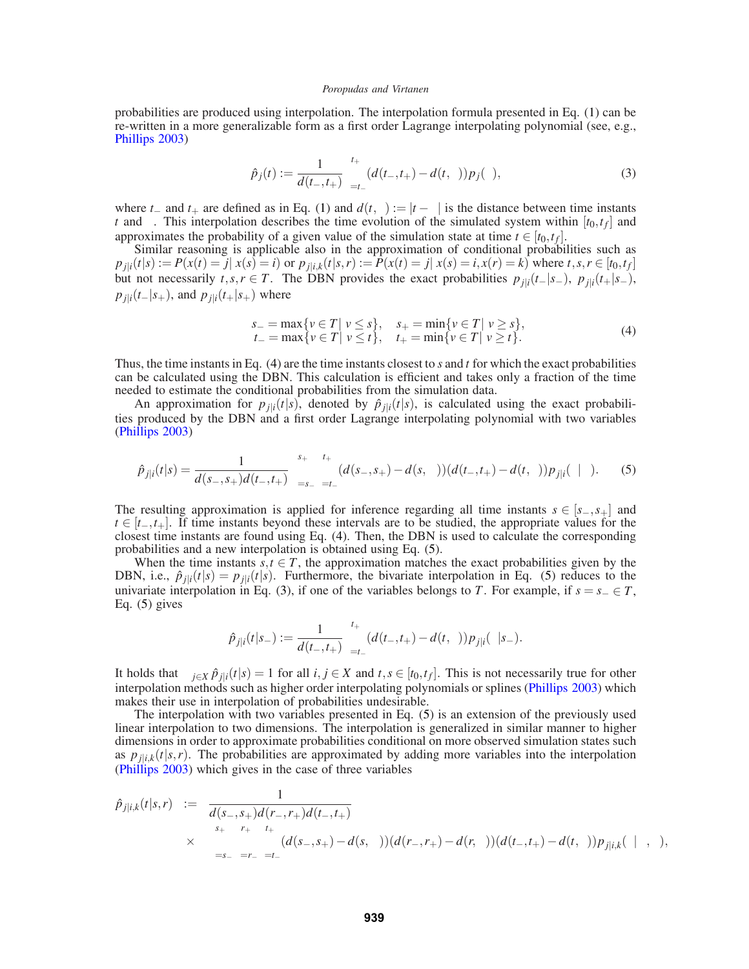probabilities are produced using interpolation. The interpolation formula presented in Eq. (1) can be re-written in a more generalizable form as a first order Lagrange interpolating polynomial (see, e.g., Phillips 2003)

$$
\hat{p}_j(t) := \frac{1}{d(t_-, t_+)} \sum_{\tau=t_-}^{t_+} (d(t_-, t_+) - d(t, \tau)) p_j(\tau), \tag{3}
$$

where *t*<sub>−</sub> and *t*<sub>+</sub> are defined as in Eq. (1) and  $d(t, \tau) := |t - \tau|$  is the distance between time instants *t* and  $\tau$ . This interpolation describes the time evolution of the simulated system within  $[t_0, t_f]$  and approximates the probability of a given value of the simulation state at time  $t \in [t_0, t_f]$ .

Similar reasoning is applicable also in the approximation of conditional probabilities such as  $p_{j|i}(t|s) := P(x(t) = j|x(s) = i)$  or  $p_{j|i,k}(t|s,r) := P(x(t) = j|x(s) = i, x(r) = k)$  where  $t, s, r \in [t_0, t_f]$ but not necessarily  $t, s, r \in T$ . The DBN provides the exact probabilities  $p_{j|i}(t-|s-), p_{j|i}(t+|s-),$  $p_{j|i}(t-|s_+)$ , and  $p_{j|i}(t+|s_+)$  where

$$
s_{-} = \max \{ v \in T | v \le s \}, \quad s_{+} = \min \{ v \in T | v \ge s \},t_{-} = \max \{ v \in T | v \le t \}, \quad t_{+} = \min \{ v \in T | v \ge t \}. \tag{4}
$$

Thus, the time instants in Eq. (4) are the time instants closest to *s* and *t* for which the exact probabilities can be calculated using the DBN. This calculation is efficient and takes only a fraction of the time needed to estimate the conditional probabilities from the simulation data.

An approximation for  $p_{j|i}(t|s)$ , denoted by  $\hat{p}_{i|i}(t|s)$ , is calculated using the exact probabilities produced by the DBN and a first order Lagrange interpolating polynomial with two variables (Phillips 2003)

$$
\hat{p}_{j|i}(t|s) = \frac{1}{d(s_-,s_+)d(t_-,t_+)} \sum_{\sigma=s_-}^{s_+} \sum_{\tau=t_-}^{t_+} (d(s_-,s_+) - d(s,\sigma))(d(t_-,t_+) - d(t,\tau))p_{j|i}(\tau|\sigma). \tag{5}
$$

The resulting approximation is applied for inference regarding all time instants  $s \in [s_-, s_+]$  and *t* ∈ [*t*<sub>−</sub>,*t*<sub>+</sub>]. If time instants beyond these intervals are to be studied, the appropriate values for the closest time instants are found using Eq. (4). Then, the DBN is used to calculate the corresponding probabilities and a new interpolation is obtained using Eq. (5).

When the time instants  $s, t \in T$ , the approximation matches the exact probabilities given by the DBN, i.e.,  $\hat{p}_{ij}(t|s) = p_{ij}(t|s)$ . Furthermore, the bivariate interpolation in Eq. (5) reduces to the univariate interpolation in Eq. (3), if one of the variables belongs to *T*. For example, if  $s = s_0 \in T$ , Eq. (5) gives

$$
\hat{p}_{j|i}(t|s_{-}):=\frac{1}{d(t_{-},t_{+})}\sum_{\tau=t_{-}}^{t_{+}}(d(t_{-},t_{+})-d(t,\tau))p_{j|i}(\tau|s_{-}).
$$

It holds that  $\sum_{j\in X} \hat{p}_{j|i}(t|s) = 1$  for all  $i, j \in X$  and  $t, s \in [t_0, t_f]$ . This is not necessarily true for other interpolation methods such as higher order interpolating polynomials or splines (Phillips 2003) which makes their use in interpolation of probabilities undesirable.

The interpolation with two variables presented in Eq. (5) is an extension of the previously used linear interpolation to two dimensions. The interpolation is generalized in similar manner to higher dimensions in order to approximate probabilities conditional on more observed simulation states such as  $p_{j|i,k}(t|s,r)$ . The probabilities are approximated by adding more variables into the interpolation (Phillips 2003) which gives in the case of three variables

$$
\hat{p}_{j|i,k}(t|s,r) \ := \ \frac{1}{d(s_-,s_+)d(r_-,r_+)d(t_-,t_+)}
$$
\n
$$
\times \quad \sum_{\sigma=s_-\rho=r_-\}^{s_+} \sum_{\tau=t_-}^{r_+} (d(s_-,s_+) - d(s,\sigma))(d(r_-,r_+) - d(r,\rho))(d(t_-,t_+) - d(t,\tau))p_{j|i,k}(\tau|\sigma,\rho),
$$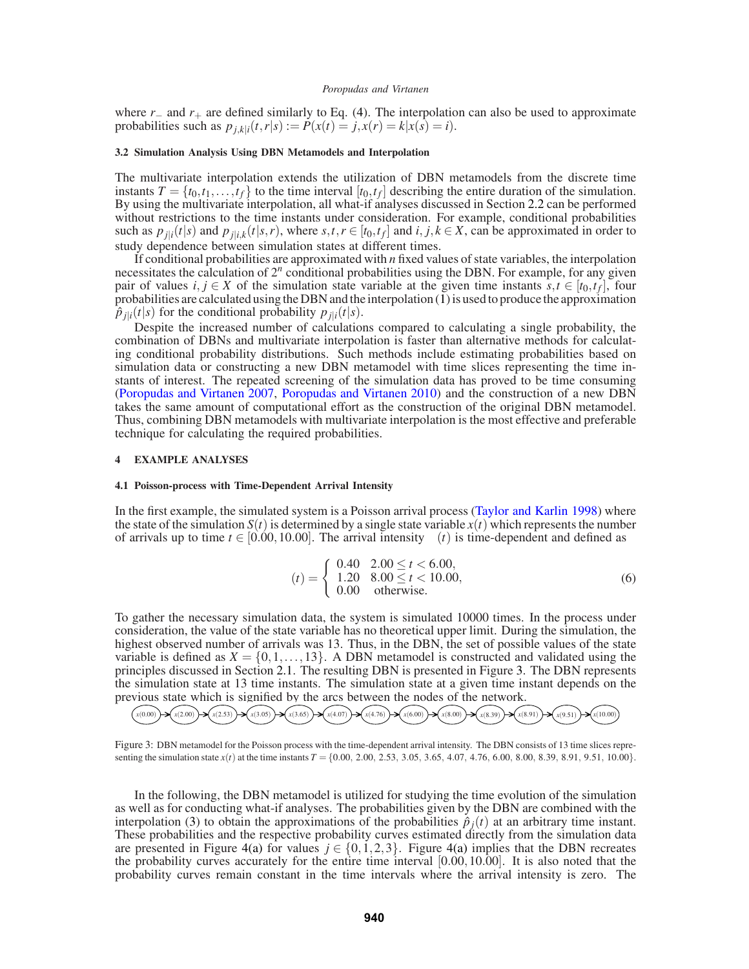where *r*<sup>−</sup> and *r*<sup>+</sup> are defined similarly to Eq. (4). The interpolation can also be used to approximate probabilities such as  $p_{j,k|i}(t, r|s) := P(x(t) = j, x(r) = k|x(s) = i)$ .

## **3.2 Simulation Analysis Using DBN Metamodels and Interpolation**

The multivariate interpolation extends the utilization of DBN metamodels from the discrete time instants  $T = \{t_0, t_1, \ldots, t_f\}$  to the time interval  $[t_0, t_f]$  describing the entire duration of the simulation. By using the multivariate interpolation, all what-if analyses discussed in Section 2.2 can be performed without restrictions to the time instants under consideration. For example, conditional probabilities such as  $p_{j|i}(t|s)$  and  $p_{j|i,k}(t|s,r)$ , where  $s,t,r \in [t_0,t_f]$  and  $i, j, k \in X$ , can be approximated in order to study dependence between simulation states at different times.

If conditional probabilities are approximated with *n* fixed values of state variables, the interpolation necessitates the calculation of 2*<sup>n</sup>* conditional probabilities using the DBN. For example, for any given pair of values  $i, j \in X$  of the simulation state variable at the given time instants  $s, t \in [t_0, t_f]$ , four probabilities are calculated using the DBN and the interpolation (1) is used to produce the approximation  $\hat{p}_{i|i}(t|s)$  for the conditional probability  $p_{j|i}(t|s)$ .

Despite the increased number of calculations compared to calculating a single probability, the combination of DBNs and multivariate interpolation is faster than alternative methods for calculating conditional probability distributions. Such methods include estimating probabilities based on simulation data or constructing a new DBN metamodel with time slices representing the time instants of interest. The repeated screening of the simulation data has proved to be time consuming (Poropudas and Virtanen 2007, Poropudas and Virtanen 2010) and the construction of a new DBN takes the same amount of computational effort as the construction of the original DBN metamodel. Thus, combining DBN metamodels with multivariate interpolation is the most effective and preferable technique for calculating the required probabilities.

## **4 EXAMPLE ANALYSES**

## **4.1 Poisson-process with Time-Dependent Arrival Intensity**

In the first example, the simulated system is a Poisson arrival process (Taylor and Karlin 1998) where the state of the simulation  $S(t)$  is determined by a single state variable  $x(t)$  which represents the number of arrivals up to time  $t \in [0.00, 10.00]$ . The arrival intensity  $\lambda(t)$  is time-dependent and defined as

$$
\lambda(t) = \begin{cases}\n0.40 & 2.00 \le t < 6.00, \\
1.20 & 8.00 \le t < 10.00, \\
0.00 & \text{otherwise.}\n\end{cases}
$$
\n(6)

To gather the necessary simulation data, the system is simulated 10000 times. In the process under consideration, the value of the state variable has no theoretical upper limit. During the simulation, the highest observed number of arrivals was 13. Thus, in the DBN, the set of possible values of the state variable is defined as  $X = \{0, 1, \ldots, 13\}$ . A DBN metamodel is constructed and validated using the principles discussed in Section 2.1. The resulting DBN is presented in Figure 3. The DBN represents the simulation state at 13 time instants. The simulation state at a given time instant depends on the previous state which is signified by the arcs between the nodes of the network.



Figure 3: DBN metamodel for the Poisson process with the time-dependent arrival intensity. The DBN consists of 13 time slices representing the simulation state  $x(t)$  at the time instants  $T = \{0.00, 2.00, 2.53, 3.05, 3.65, 4.07, 4.76, 6.00, 8.00, 8.39, 8.91, 9.51, 10.00\}$ .

In the following, the DBN metamodel is utilized for studying the time evolution of the simulation as well as for conducting what-if analyses. The probabilities given by the DBN are combined with the interpolation (3) to obtain the approximations of the probabilities  $\hat{p}_i(t)$  at an arbitrary time instant. These probabilities and the respective probability curves estimated directly from the simulation data are presented in Figure 4(a) for values  $j \in \{0, 1, 2, 3\}$ . Figure 4(a) implies that the DBN recreates the probability curves accurately for the entire time interval [0.00,10.00]. It is also noted that the probability curves remain constant in the time intervals where the arrival intensity is zero. The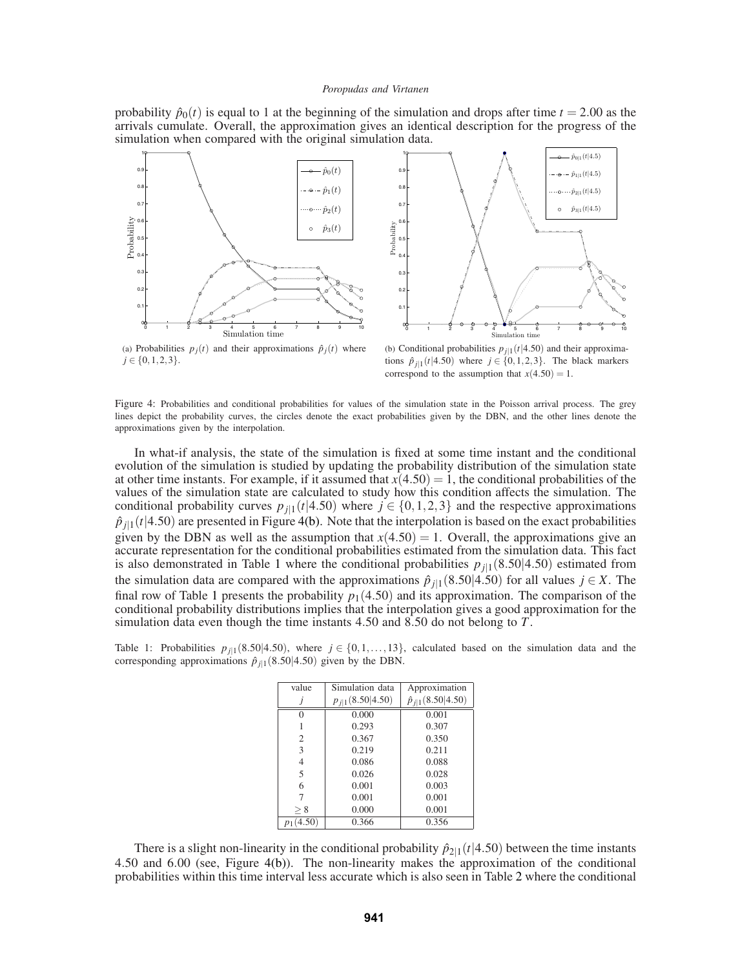probability  $\hat{p}_0(t)$  is equal to 1 at the beginning of the simulation and drops after time  $t = 2.00$  as the arrivals cumulate. Overall, the approximation gives an identical description for the progress of the simulation when compared with the original simulation data.





(a) Probabilities  $p_j(t)$  and their approximations  $\hat{p}_j(t)$  where *j* ∈ {0,1,2,3}.

(b) Conditional probabilities  $p_{i|1}(t|4.50)$  and their approximations  $\hat{p}_{j|1}(t|4.50)$  where  $j \in \{0,1,2,3\}$ . The black markers correspond to the assumption that  $x(4.50) = 1$ .

Figure 4: Probabilities and conditional probabilities for values of the simulation state in the Poisson arrival process. The grey lines depict the probability curves, the circles denote the exact probabilities given by the DBN, and the other lines denote the approximations given by the interpolation.

In what-if analysis, the state of the simulation is fixed at some time instant and the conditional evolution of the simulation is studied by updating the probability distribution of the simulation state at other time instants. For example, if it assumed that  $x(4.50) = 1$ , the conditional probabilities of the values of the simulation state are calculated to study how this condition affects the simulation. The conditional probability curves  $p_{j|1}(t|4.50)$  where  $j \in \{0,1,2,3\}$  and the respective approximations  $\hat{p}_{i|1}(t|4.50)$  are presented in Figure 4(b). Note that the interpolation is based on the exact probabilities given by the DBN as well as the assumption that  $x(4.50) = 1$ . Overall, the approximations give an accurate representation for the conditional probabilities estimated from the simulation data. This fact is also demonstrated in Table 1 where the conditional probabilities  $p_{j|1}(8.50|4.50)$  estimated from the simulation data are compared with the approximations  $\hat{p}_{j|1}(8.50|4.50)$  for all values  $j \in X$ . The final row of Table 1 presents the probability  $p_1(4.50)$  and its approximation. The comparison of the conditional probability distributions implies that the interpolation gives a good approximation for the simulation data even though the time instants 4.50 and 8.50 do not belong to *T*.

Table 1: Probabilities  $p_{j|1}(8.50|4.50)$ , where  $j \in \{0,1,\ldots,13\}$ , calculated based on the simulation data and the corresponding approximations  $\hat{p}_{j|1}(8.50|4.50)$  given by the DBN.

| value | Simulation data      | Approximation              |
|-------|----------------------|----------------------------|
|       | $p_{j 1}(8.50 4.50)$ | $\hat{p}_{i 1}(8.50 4.50)$ |
| ∩     | 0.000                | 0.001                      |
|       | 0.293                | 0.307                      |
| 2     | 0.367                | 0.350                      |
| 3     | 0.219                | 0.211                      |
| 4     | 0.086                | 0.088                      |
| 5     | 0.026                | 0.028                      |
| 6     | 0.001                | 0.003                      |
| 7     | 0.001                | 0.001                      |
| > 8   | 0.000                | 0.001                      |
| 4.50  | 0.366                | 0.356                      |

There is a slight non-linearity in the conditional probability  $\hat{p}_{2|1}(t|4.50)$  between the time instants 4.50 and 6.00 (see, Figure 4(b)). The non-linearity makes the approximation of the conditional probabilities within this time interval less accurate which is also seen in Table 2 where the conditional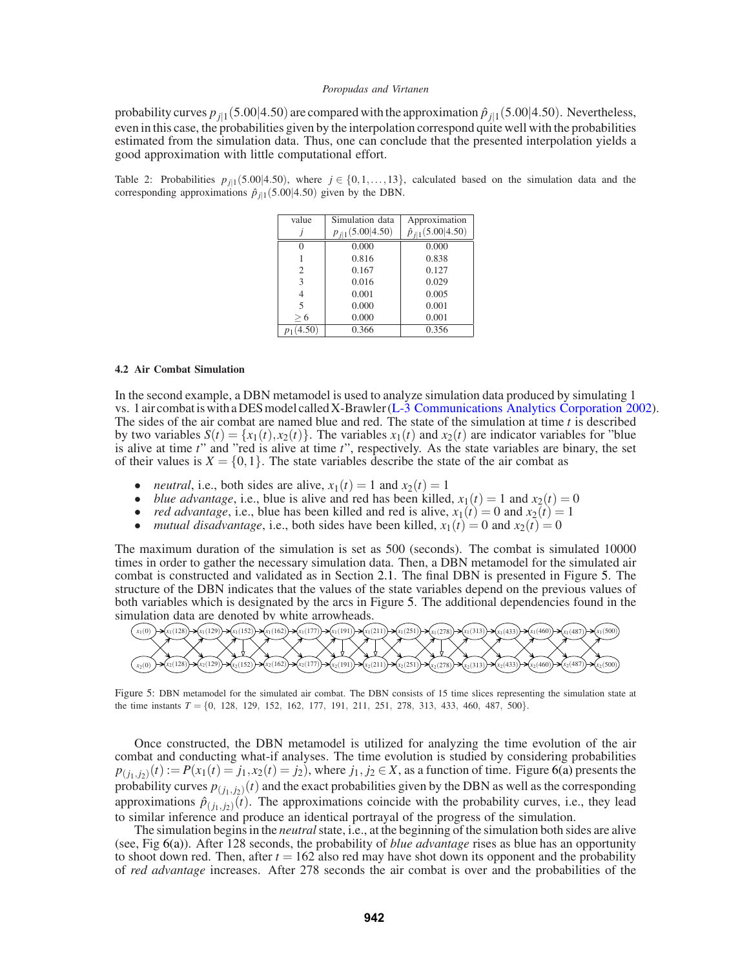probability curves  $p_{j|1}(5.00|4.50)$  are compared with the approximation  $\hat{p}_{j|1}(5.00|4.50)$ . Nevertheless, even in this case, the probabilities given by the interpolation correspond quite well with the probabilities estimated from the simulation data. Thus, one can conclude that the presented interpolation yields a good approximation with little computational effort.

Table 2: Probabilities  $p_{j|1}(5.00|4.50)$ , where  $j \in \{0,1,\ldots,13\}$ , calculated based on the simulation data and the corresponding approximations  $\hat{p}_{j|1}(5.00|4.50)$  given by the DBN.

| value          | Simulation data      | Approximation              |  |  |  |
|----------------|----------------------|----------------------------|--|--|--|
|                | $p_{j 1}(5.00 4.50)$ | $\hat{p}_{i 1}(5.00 4.50)$ |  |  |  |
| O              | 0.000                | 0.000                      |  |  |  |
|                | 0.816                | 0.838                      |  |  |  |
| $\overline{c}$ | 0.167                | 0.127                      |  |  |  |
| 3              | 0.016                | 0.029                      |  |  |  |
| 4              | 0.001                | 0.005                      |  |  |  |
| 5              | 0.000                | 0.001                      |  |  |  |
| > 6            | 0.000                | 0.001                      |  |  |  |
|                | 0.366                | 0.356                      |  |  |  |

# **4.2 Air Combat Simulation**

In the second example, a DBN metamodel is used to analyze simulation data produced by simulating 1 vs. 1 air combat is with a DES model called X-Brawler (L-3 Communications Analytics Corporation 2002). The sides of the air combat are named blue and red. The state of the simulation at time *t* is described by two variables  $S(t) = \{x_1(t), x_2(t)\}$ . The variables  $x_1(t)$  and  $x_2(t)$  are indicator variables for "blue" is alive at time *t*" and "red is alive at time *t*", respectively. As the state variables are binary, the set of their values is  $X = \{0, 1\}$ . The state variables describe the state of the air combat as

- *neutral*, i.e., both sides are alive,  $x_1(t) = 1$  and  $x_2(t) = 1$ <br>• *blue advantage*, i.e., blue is alive and red has been killed
- *blue advantage*, i.e., blue is alive and red has been killed,  $x_1(t) = 1$  and  $x_2(t) = 0$ <br>• *red advantage*, i.e., blue has been killed and red is alive,  $x_1(t) = 0$  and  $x_2(t) = 1$
- *red advantage*, i.e., blue has been killed and red is alive,  $x_1(t) = 0$  and  $x_2(t) = 1$ <br>• *mutual disadvantage*, i.e., both sides have been killed,  $x_1(t) = 0$  and  $x_2(t) = 0$
- *mutual disadvantage*, i.e., both sides have been killed,  $x_1(t) = 0$  and  $x_2(t) = 0$

The maximum duration of the simulation is set as 500 (seconds). The combat is simulated 10000 times in order to gather the necessary simulation data. Then, a DBN metamodel for the simulated air combat is constructed and validated as in Section 2.1. The final DBN is presented in Figure 5. The structure of the DBN indicates that the values of the state variables depend on the previous values of both variables which is designated by the arcs in Figure 5. The additional dependencies found in the simulation data are denoted by white arrowheads.



Figure 5: DBN metamodel for the simulated air combat. The DBN consists of 15 time slices representing the simulation state at the time instants  $T = \{0, 128, 129, 152, 162, 177, 191, 211, 251, 278, 313, 433, 460, 487, 500\}$ .

Once constructed, the DBN metamodel is utilized for analyzing the time evolution of the air combat and conducting what-if analyses. The time evolution is studied by considering probabilities  $p_{(j_1,j_2)}(t) := P(x_1(t) = j_1, x_2(t) = j_2)$ , where  $j_1, j_2 \in X$ , as a function of time. Figure 6(a) presents the probability curves  $p_{(j_1,j_2)}(t)$  and the exact probabilities given by the DBN as well as the corresponding approximations  $\hat{p}_{(j_1,j_2)}(t)$ . The approximations coincide with the probability curves, i.e., they lead to similar inference and produce an identical portrayal of the progress of the simulation.

The simulation begins in the *neutral*state, i.e., at the beginning of the simulation both sides are alive (see, Fig 6(a)). After 128 seconds, the probability of *blue advantage* rises as blue has an opportunity to shoot down red. Then, after  $t = 162$  also red may have shot down its opponent and the probability of *red advantage* increases. After 278 seconds the air combat is over and the probabilities of the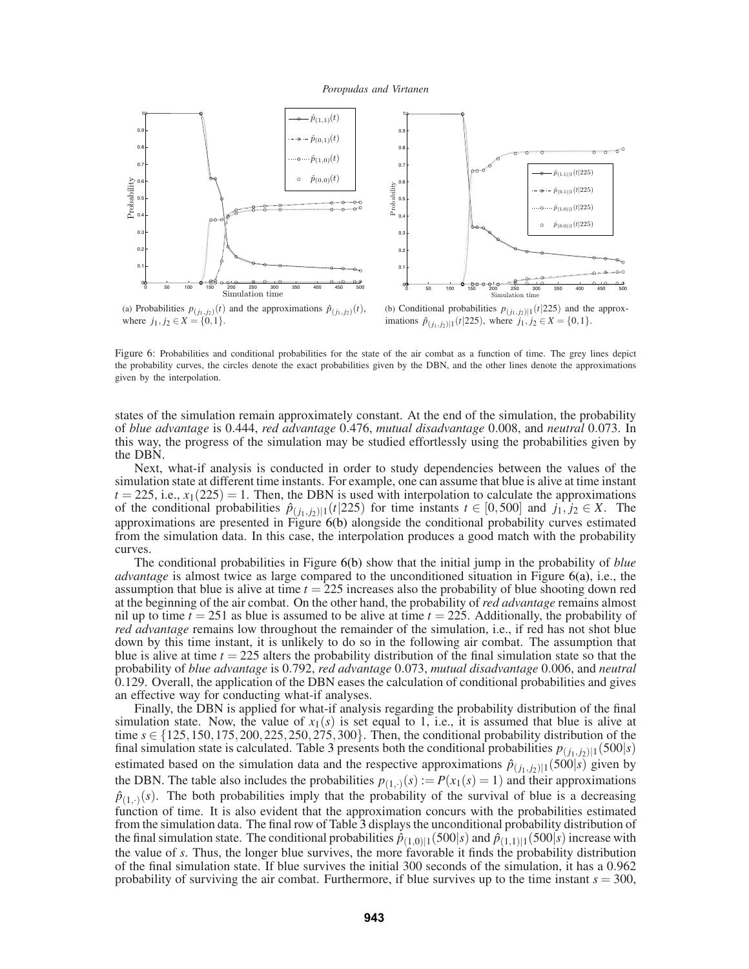

(a) Probabilities  $p_{(j_1,j_2)}(t)$  and the approximations  $\hat{p}_{(j_1,j_2)}(t)$ , where  $j_1, j_2 \in X = \{0, 1\}.$ 

(b) Conditional probabilities  $p_{(j_1,j_2)|1}(t|225)$  and the approximations  $\hat{p}_{(j_1, j_2)|1}(t|225)$ , where  $j_1, j_2 \in X = \{0, 1\}.$ 

Figure 6: Probabilities and conditional probabilities for the state of the air combat as a function of time. The grey lines depict the probability curves, the circles denote the exact probabilities given by the DBN, and the other lines denote the approximations given by the interpolation.

states of the simulation remain approximately constant. At the end of the simulation, the probability of *blue advantage* is 0.444, *red advantage* 0.476, *mutual disadvantage* 0.008, and *neutral* 0.073. In this way, the progress of the simulation may be studied effortlessly using the probabilities given by the DBN.

Next, what-if analysis is conducted in order to study dependencies between the values of the simulation state at different time instants. For example, one can assume that blue is alive at time instant  $t = 225$ , i.e.,  $x_1(225) = 1$ . Then, the DBN is used with interpolation to calculate the approximations of the conditional probabilities  $\hat{p}_{(j_1,j_2)|1}(t|225)$  for time instants  $t \in [0,500]$  and  $j_1, j_2 \in X$ . The approximations are presented in Figure 6(b) alongside the conditional probability curves estimated from the simulation data. In this case, the interpolation produces a good match with the probability curves.

The conditional probabilities in Figure 6(b) show that the initial jump in the probability of *blue advantage* is almost twice as large compared to the unconditioned situation in Figure 6(a), i.e., the assumption that blue is alive at time  $t = 225$  increases also the probability of blue shooting down red at the beginning of the air combat. On the other hand, the probability of *red advantage* remains almost nil up to time  $t = 251$  as blue is assumed to be alive at time  $t = 225$ . Additionally, the probability of *red advantage* remains low throughout the remainder of the simulation, i.e., if red has not shot blue down by this time instant, it is unlikely to do so in the following air combat. The assumption that blue is alive at time  $t = 225$  alters the probability distribution of the final simulation state so that the probability of *blue advantage* is 0.792, *red advantage* 0.073, *mutual disadvantage* 0.006, and *neutral* 0.129. Overall, the application of the DBN eases the calculation of conditional probabilities and gives an effective way for conducting what-if analyses.

Finally, the DBN is applied for what-if analysis regarding the probability distribution of the final simulation state. Now, the value of  $x_1(s)$  is set equal to 1, i.e., it is assumed that blue is alive at time  $s \in \{125, 150, 175, 200, 225, 250, 275, 300\}$ . Then, the conditional probability distribution of the final simulation state is calculated. Table 3 presents both the conditional probabilities  $p_{(j_1,j_2)|1}(500|s)$ estimated based on the simulation data and the respective approximations  $\hat{p}_{(j_1,j_2)|1}(500|s)$  given by the DBN. The table also includes the probabilities  $p_{(1,\cdot)}(s) := P(x_1(s) = 1)$  and their approximations  $\hat{p}_{(1)}(s)$ . The both probabilities imply that the probability of the survival of blue is a decreasing function of time. It is also evident that the approximation concurs with the probabilities estimated from the simulation data. The final row of Table 3 displays the unconditional probability distribution of the final simulation state. The conditional probabilities  $\hat{p}_{(1,0)|1}$ (500|*s*) and  $\hat{p}_{(1,1)|1}$ (500|*s*) increase with the value of *s*. Thus, the longer blue survives, the more favorable it finds the probability distribution of the final simulation state. If blue survives the initial 300 seconds of the simulation, it has a 0.962 probability of surviving the air combat. Furthermore, if blue survives up to the time instant  $s = 300$ ,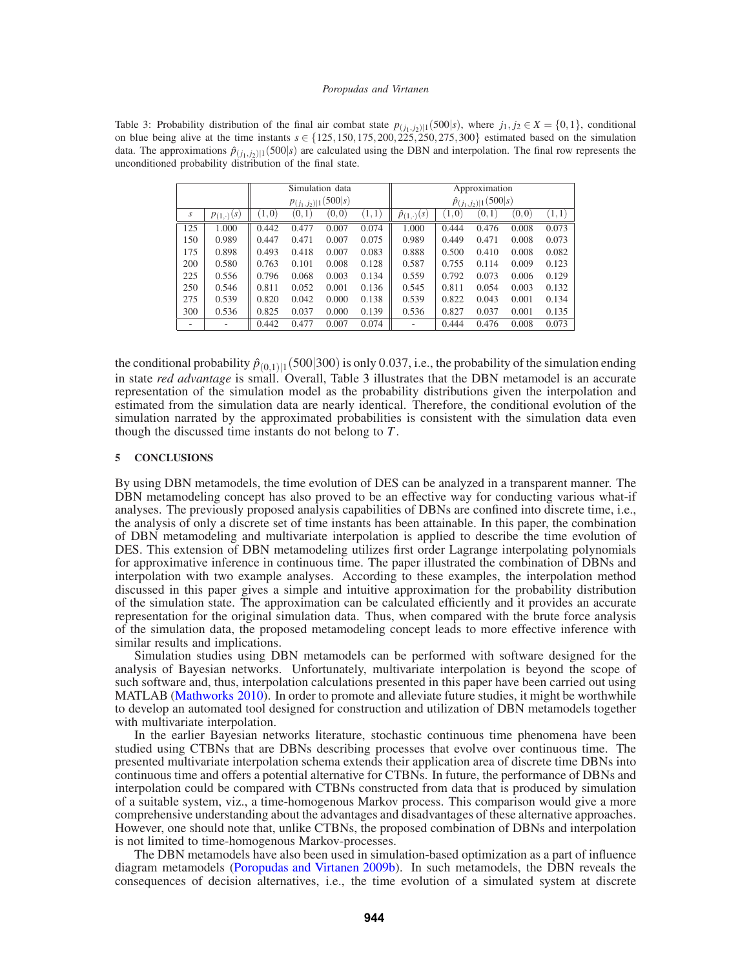Table 3: Probability distribution of the final air combat state  $p_{(j_1,j_2)|1}(500|s)$ , where  $j_1, j_2 \in X = \{0,1\}$ , conditional on blue being alive at the time instants  $s \in \{125, 150, 175, 200, 225, 250, 275, 300\}$  estimated based on the simulation data. The approximations  $\hat{p}_{(j_1,j_2)|1}(500|s)$  are calculated using the DBN and interpolation. The final row represents the unconditioned probability distribution of the final state.

|     |                    | Simulation data |                                                         |       |       | Approximation            |                                |       |       |       |  |
|-----|--------------------|-----------------|---------------------------------------------------------|-------|-------|--------------------------|--------------------------------|-------|-------|-------|--|
|     |                    |                 | $\frac{p_{(j_1,j_2) 1}(500 s)}{p_{(j_1,j_2) 1}(500 s)}$ |       |       |                          | $\hat{p}_{(j_1,j_2) 1}(500 s)$ |       |       |       |  |
| S   | $P_{(1,\cdot)}(s)$ | (1,0)           | (0,1)                                                   | (0,0) | (1,1) | $\hat{p}_{(1,\cdot)}(s)$ | (1,0)                          | (0,1) | (0,0) | (1,1) |  |
| 125 | 1.000              | 0.442           | 0.477                                                   | 0.007 | 0.074 | 1.000                    | 0.444                          | 0.476 | 0.008 | 0.073 |  |
| 150 | 0.989              | 0.447           | 0.471                                                   | 0.007 | 0.075 | 0.989                    | 0.449                          | 0.471 | 0.008 | 0.073 |  |
| 175 | 0.898              | 0.493           | 0.418                                                   | 0.007 | 0.083 | 0.888                    | 0.500                          | 0.410 | 0.008 | 0.082 |  |
| 200 | 0.580              | 0.763           | 0.101                                                   | 0.008 | 0.128 | 0.587                    | 0.755                          | 0.114 | 0.009 | 0.123 |  |
| 225 | 0.556              | 0.796           | 0.068                                                   | 0.003 | 0.134 | 0.559                    | 0.792                          | 0.073 | 0.006 | 0.129 |  |
| 250 | 0.546              | 0.811           | 0.052                                                   | 0.001 | 0.136 | 0.545                    | 0.811                          | 0.054 | 0.003 | 0.132 |  |
| 275 | 0.539              | 0.820           | 0.042                                                   | 0.000 | 0.138 | 0.539                    | 0.822                          | 0.043 | 0.001 | 0.134 |  |
| 300 | 0.536              | 0.825           | 0.037                                                   | 0.000 | 0.139 | 0.536                    | 0.827                          | 0.037 | 0.001 | 0.135 |  |
| ۰   |                    | 0.442           | 0.477                                                   | 0.007 | 0.074 | $\overline{\phantom{m}}$ | 0.444                          | 0.476 | 0.008 | 0.073 |  |

the conditional probability  $\hat{p}_{(0,1)|1}$ (500|300) is only 0.037, i.e., the probability of the simulation ending in state *red advantage* is small. Overall, Table 3 illustrates that the DBN metamodel is an accurate representation of the simulation model as the probability distributions given the interpolation and estimated from the simulation data are nearly identical. Therefore, the conditional evolution of the simulation narrated by the approximated probabilities is consistent with the simulation data even though the discussed time instants do not belong to *T*.

# **5 CONCLUSIONS**

By using DBN metamodels, the time evolution of DES can be analyzed in a transparent manner. The DBN metamodeling concept has also proved to be an effective way for conducting various what-if analyses. The previously proposed analysis capabilities of DBNs are confined into discrete time, i.e., the analysis of only a discrete set of time instants has been attainable. In this paper, the combination of DBN metamodeling and multivariate interpolation is applied to describe the time evolution of DES. This extension of DBN metamodeling utilizes first order Lagrange interpolating polynomials for approximative inference in continuous time. The paper illustrated the combination of DBNs and interpolation with two example analyses. According to these examples, the interpolation method discussed in this paper gives a simple and intuitive approximation for the probability distribution of the simulation state. The approximation can be calculated efficiently and it provides an accurate representation for the original simulation data. Thus, when compared with the brute force analysis of the simulation data, the proposed metamodeling concept leads to more effective inference with similar results and implications.

Simulation studies using DBN metamodels can be performed with software designed for the analysis of Bayesian networks. Unfortunately, multivariate interpolation is beyond the scope of such software and, thus, interpolation calculations presented in this paper have been carried out using MATLAB (Mathworks 2010). In order to promote and alleviate future studies, it might be worthwhile to develop an automated tool designed for construction and utilization of DBN metamodels together with multivariate interpolation.

In the earlier Bayesian networks literature, stochastic continuous time phenomena have been studied using CTBNs that are DBNs describing processes that evolve over continuous time. The presented multivariate interpolation schema extends their application area of discrete time DBNs into continuous time and offers a potential alternative for CTBNs. In future, the performance of DBNs and interpolation could be compared with CTBNs constructed from data that is produced by simulation of a suitable system, viz., a time-homogenous Markov process. This comparison would give a more comprehensive understanding about the advantages and disadvantages of these alternative approaches. However, one should note that, unlike CTBNs, the proposed combination of DBNs and interpolation is not limited to time-homogenous Markov-processes.

The DBN metamodels have also been used in simulation-based optimization as a part of influence diagram metamodels (Poropudas and Virtanen 2009b). In such metamodels, the DBN reveals the consequences of decision alternatives, i.e., the time evolution of a simulated system at discrete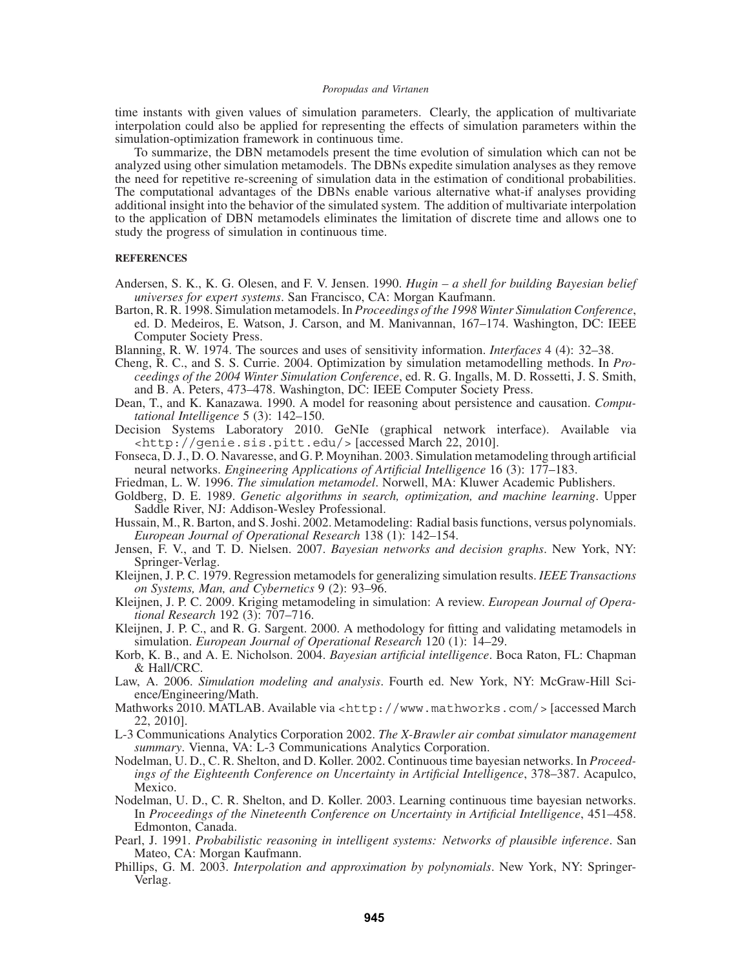time instants with given values of simulation parameters. Clearly, the application of multivariate interpolation could also be applied for representing the effects of simulation parameters within the simulation-optimization framework in continuous time.

To summarize, the DBN metamodels present the time evolution of simulation which can not be analyzed using other simulation metamodels. The DBNs expedite simulation analyses as they remove the need for repetitive re-screening of simulation data in the estimation of conditional probabilities. The computational advantages of the DBNs enable various alternative what-if analyses providing additional insight into the behavior of the simulated system. The addition of multivariate interpolation to the application of DBN metamodels eliminates the limitation of discrete time and allows one to study the progress of simulation in continuous time.

## **REFERENCES**

- Andersen, S. K., K. G. Olesen, and F. V. Jensen. 1990. *Hugin a shell for building Bayesian belief universes for expert systems*. San Francisco, CA: Morgan Kaufmann.
- Barton, R. R. 1998. Simulation metamodels. In *Proceedings of the 1998 Winter Simulation Conference*, ed. D. Medeiros, E. Watson, J. Carson, and M. Manivannan, 167–174. Washington, DC: IEEE Computer Society Press.
- Blanning, R. W. 1974. The sources and uses of sensitivity information. *Interfaces* 4 (4): 32–38.
- Cheng, R. C., and S. S. Currie. 2004. Optimization by simulation metamodelling methods. In *Proceedings of the 2004 Winter Simulation Conference*, ed. R. G. Ingalls, M. D. Rossetti, J. S. Smith, and B. A. Peters, 473–478. Washington, DC: IEEE Computer Society Press.
- Dean, T., and K. Kanazawa. 1990. A model for reasoning about persistence and causation. *Computational Intelligence* 5 (3): 142–150.
- Decision Systems Laboratory 2010. GeNIe (graphical network interface). Available via <http://genie.sis.pitt.edu/> [accessed March 22, 2010].
- Fonseca, D. J., D. O. Navaresse, and G. P. Moynihan. 2003. Simulation metamodeling through artificial neural networks. *Engineering Applications of Artificial Intelligence* 16 (3): 177–183.
- Friedman, L. W. 1996. *The simulation metamodel*. Norwell, MA: Kluwer Academic Publishers.
- Goldberg, D. E. 1989. *Genetic algorithms in search, optimization, and machine learning*. Upper Saddle River, NJ: Addison-Wesley Professional.
- Hussain, M., R. Barton, and S. Joshi. 2002. Metamodeling: Radial basis functions, versus polynomials. *European Journal of Operational Research* 138 (1): 142–154.
- Jensen, F. V., and T. D. Nielsen. 2007. *Bayesian networks and decision graphs*. New York, NY: Springer-Verlag.
- Kleijnen, J. P. C. 1979. Regression metamodels for generalizing simulation results. *IEEE Transactions on Systems, Man, and Cybernetics* 9 (2): 93–96.
- Kleijnen, J. P. C. 2009. Kriging metamodeling in simulation: A review. *European Journal of Operational Research* 192 (3): 707–716.
- Kleijnen, J. P. C., and R. G. Sargent. 2000. A methodology for fitting and validating metamodels in simulation. *European Journal of Operational Research* 120 (1): 14–29.
- Korb, K. B., and A. E. Nicholson. 2004. *Bayesian artificial intelligence*. Boca Raton, FL: Chapman & Hall/CRC.
- Law, A. 2006. *Simulation modeling and analysis*. Fourth ed. New York, NY: McGraw-Hill Science/Engineering/Math.
- Mathworks 2010. MATLAB. Available via <http://www.mathworks.com/> [accessed March 22, 2010].
- L-3 Communications Analytics Corporation 2002. *The X-Brawler air combat simulator management summary*. Vienna, VA: L-3 Communications Analytics Corporation.
- Nodelman, U. D., C. R. Shelton, and D. Koller. 2002. Continuous time bayesian networks. In *Proceedings of the Eighteenth Conference on Uncertainty in Artificial Intelligence*, 378–387. Acapulco, Mexico.
- Nodelman, U. D., C. R. Shelton, and D. Koller. 2003. Learning continuous time bayesian networks. In *Proceedings of the Nineteenth Conference on Uncertainty in Artificial Intelligence*, 451–458. Edmonton, Canada.
- Pearl, J. 1991. *Probabilistic reasoning in intelligent systems: Networks of plausible inference*. San Mateo, CA: Morgan Kaufmann.
- Phillips, G. M. 2003. *Interpolation and approximation by polynomials*. New York, NY: Springer-Verlag.